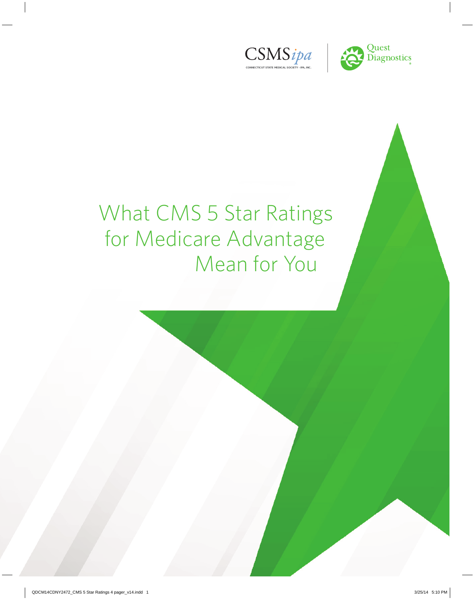



# What CMS 5 Star Ratings for Medicare Advantage Mean for You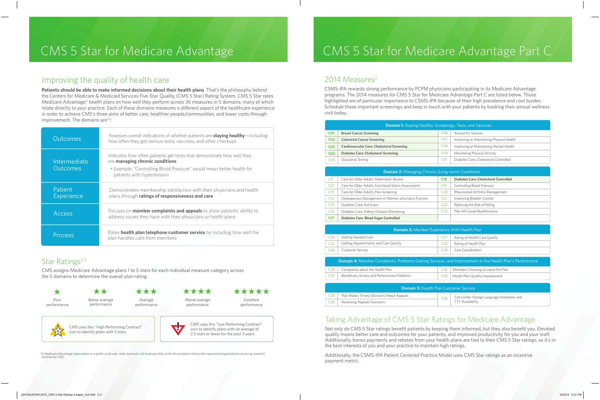### Improving the quality of health care

**Patients should be able to make informed decisions about their health plans**. That's the philosophy behind the Centers for Medicare & Medicaid Services Five-Star Quality (CMS 5 Star) Rating System. CMS 5 Star rates Medicare Advantage\* health plans on how well they perform across 36 measures in 5 domains, many of which relate directly to your practice. Each of these domains measures a different aspect of the healthcare experience in order to achieve CMS's three aims of better care, healthier people/communities, and lower costs through improvement. The domains are $1,2$ :

CSMS-IPA rewards strong performance by PCPM physicians participating in its Medicare Advantage programs. The 2014 measures for CMS 5 Star for Medicare Advantage Part C are listed below. Those highlighted are of particular importance to CSMS-IPA because of their high prevalence and cost burden. Schedule these important screenings and keep in touch with your patients by booking their annual wellness visit today.

| Outcomes                 | Assesses overall indications of whether patients are staying healthy-including<br>how often they get various tests, vaccines, and other checkups                                                               |
|--------------------------|----------------------------------------------------------------------------------------------------------------------------------------------------------------------------------------------------------------|
| Intermediate<br>Outcomes | Indicates how often patients get tests that demonstrate how well they<br>are managing chronic conditions<br>• Example: "Controlling Blood Pressure" would mean better health for<br>patients with hypertension |
| Patient<br>Experience    | Demonstrates membership satisfaction with their physicians and health<br>plans through ratings of responsiveness and care                                                                                      |
| <b>Access</b>            | Focuses on <b>member complaints and appeals</b> to show patients' ability to<br>address issues they have with their physicians or health plans                                                                 |
| Process                  | Rates health plan telephone customer service by including how well the<br>plan handles calls from members                                                                                                      |

### Star Ratings<sup>2,3</sup>

\* A Medicare Advantage organization is a public or private, state-licensed, risk-bearing entity (with the exception of provider-sponsored organizations receiving waivers) certified by CMS

## CMS 5 Star for Medicare Advantage CMS 5 Star for Medicare Advantage Part C

### 2014 Measures<sup>2</sup>

Not only do CMS 5 Star ratings benefit patients by keeping them informed, but they also benefit you. Elevated quality means better care and outcomes for your patients, and improved productivity for you and your staff. Additionally, bonus payments and rebates from your health plans are tied to their CMS 5 Star ratings, so it's in the best interests of you and your practice to maintain high ratings.

\*\* Below average \*\*\* Average

\*\*\*\* Above average



CMS uses this "High Performing Contract" icon to identify plans with 5 stars



| <b>Domain 1:</b> Staying Healthy: Screenings, Tests, and Vaccines                                        |                                                     |                 |                                               |  |  |
|----------------------------------------------------------------------------------------------------------|-----------------------------------------------------|-----------------|-----------------------------------------------|--|--|
| <b>CO1</b>                                                                                               | <b>Breast Cancer Screening</b>                      | C <sub>06</sub> | Annual Flu Vaccine                            |  |  |
| <b>CO2</b>                                                                                               | <b>Colorectal Cancer Screening</b>                  | C <sub>07</sub> | Improving or Maintaining Physical Health      |  |  |
| CO <sub>3</sub>                                                                                          | <b>Cardiovascular Care: Cholesterol Screening</b>   | C <sub>08</sub> | Improving or Maintaining Mental Health        |  |  |
| CO <sub>4</sub>                                                                                          | <b>Diabetes Care: Cholesterol Screening</b>         | C <sub>09</sub> | Monitoring Physical Activity                  |  |  |
| CO <sub>5</sub>                                                                                          | Glaucoma Testing                                    | C10             | Diabetes Care: Cholesterol Controlled         |  |  |
| Domain 2: Managing Chronic (Long-term) Conditions                                                        |                                                     |                 |                                               |  |  |
| C11                                                                                                      | Care for Older Adults: Medication Review            | <b>C18</b>      | <b>Diabetes Care: Cholesterol Controlled</b>  |  |  |
| C12                                                                                                      | Care for Older Adults: Functional Status Assessment | C19             | <b>Controlling Blood Pressure</b>             |  |  |
| C13                                                                                                      | Care for Older Adults: Pain Screening               | C <sub>20</sub> | Rheumatoid Arthritis Management               |  |  |
| C14                                                                                                      | Osteoporosis Management in Women who had a Fracture | C <sub>21</sub> | Improving Bladder Control                     |  |  |
| C15                                                                                                      | Diabetes Care: Eye Exam                             | C <sub>22</sub> | Reducing the Risk of Falling                  |  |  |
| C16                                                                                                      | Diabetes Care: Kidney Disease Monitoring            | C <sub>23</sub> | Plan All-Cause Readmissions                   |  |  |
| C <sub>17</sub>                                                                                          | <b>Diabetes Care: Blood Sugar Controlled</b>        |                 |                                               |  |  |
| Domain 3: Member Experience With Health Plan                                                             |                                                     |                 |                                               |  |  |
| C <sub>24</sub>                                                                                          | <b>Getting Needed Care</b>                          | C <sub>27</sub> | Rating of Health Care Quality                 |  |  |
| C <sub>25</sub>                                                                                          | Getting Appointments and Care Quickly               | C <sub>28</sub> | Rating of Health Plan                         |  |  |
| C <sub>26</sub>                                                                                          | <b>Customer Service</b>                             | C <sub>29</sub> | Care Coordination                             |  |  |
| Domain 4: Member Complaints, Problems Getting Services, and Improvement in the Health Plan's Performance |                                                     |                 |                                               |  |  |
| C30                                                                                                      | Complaints about the Health Plan                    | C <sub>32</sub> | Members Choosing to Leave the Plan            |  |  |
| C <sub>31</sub>                                                                                          | Beneficiary Access and Performance Problems         | C <sub>33</sub> | Health Plan Quality Improvement               |  |  |
| <b>Domain 5: Health Plan Customer Service</b>                                                            |                                                     |                 |                                               |  |  |
| C <sub>34</sub>                                                                                          | Plan Makes Timely Decisions About Appeals           | C <sub>36</sub> | Call Center: Foreign Language Interpreter and |  |  |
| C <sub>35</sub>                                                                                          | <b>Reviewing Appeals Decisions</b>                  |                 | <b>TTY Availability</b>                       |  |  |

CMS assigns Medicare Advantage plans 1 to 5 stars for each individual measure category across the 5 domains to determine the overall plan rating.

### Taking Advantage of CMS 5 Star Ratings for Medicare Advantage

Additionally, the CSMS-IPA Patient Centered Practice Model uses CMS Star ratings as an incentive payment metric.



performance

performance

performance

performance



performance

CMS uses this "Low Performing Contract" icon to identify plans with an average of 2.5 stars or fewer for the past 3 years